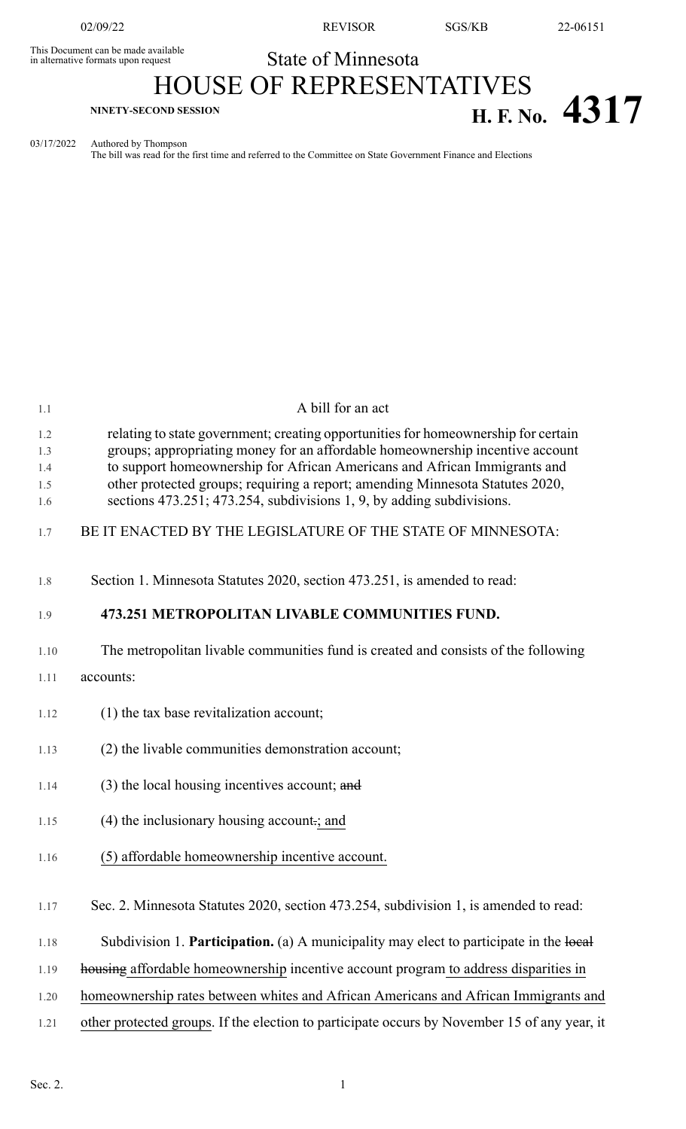This Document can be made available<br>in alternative formats upon request

02/09/22 REVISOR SGS/KB 22-06151

## State of Minnesota HOUSE OF REPRESENTATIVES **H. F. No. 4317 H. F. No. 4317**

03/17/2022 Authored by Thompson

The bill was read for the first time and referred to the Committee on State Government Finance and Elections

| relating to state government; creating opportunities for homeownership for certain<br>1.2<br>groups; appropriating money for an affordable homeownership incentive account<br>1.3<br>to support homeownership for African Americans and African Immigrants and<br>1.4<br>other protected groups; requiring a report; amending Minnesota Statutes 2020,<br>1.5<br>sections 473.251; 473.254, subdivisions 1, 9, by adding subdivisions.<br>1.6<br>BE IT ENACTED BY THE LEGISLATURE OF THE STATE OF MINNESOTA:<br>1.7<br>Section 1. Minnesota Statutes 2020, section 473.251, is amended to read:<br>1.8<br>473.251 METROPOLITAN LIVABLE COMMUNITIES FUND.<br>1.9<br>The metropolitan livable communities fund is created and consists of the following<br>1.10<br>accounts:<br>1.11<br>(1) the tax base revitalization account;<br>1.12<br>(2) the livable communities demonstration account;<br>1.13<br>$(3)$ the local housing incentives account; and<br>1.14<br>$(4)$ the inclusionary housing account ; and<br>1.15 |  |
|-------------------------------------------------------------------------------------------------------------------------------------------------------------------------------------------------------------------------------------------------------------------------------------------------------------------------------------------------------------------------------------------------------------------------------------------------------------------------------------------------------------------------------------------------------------------------------------------------------------------------------------------------------------------------------------------------------------------------------------------------------------------------------------------------------------------------------------------------------------------------------------------------------------------------------------------------------------------------------------------------------------------------|--|
|                                                                                                                                                                                                                                                                                                                                                                                                                                                                                                                                                                                                                                                                                                                                                                                                                                                                                                                                                                                                                         |  |
|                                                                                                                                                                                                                                                                                                                                                                                                                                                                                                                                                                                                                                                                                                                                                                                                                                                                                                                                                                                                                         |  |
|                                                                                                                                                                                                                                                                                                                                                                                                                                                                                                                                                                                                                                                                                                                                                                                                                                                                                                                                                                                                                         |  |
|                                                                                                                                                                                                                                                                                                                                                                                                                                                                                                                                                                                                                                                                                                                                                                                                                                                                                                                                                                                                                         |  |
|                                                                                                                                                                                                                                                                                                                                                                                                                                                                                                                                                                                                                                                                                                                                                                                                                                                                                                                                                                                                                         |  |
|                                                                                                                                                                                                                                                                                                                                                                                                                                                                                                                                                                                                                                                                                                                                                                                                                                                                                                                                                                                                                         |  |
|                                                                                                                                                                                                                                                                                                                                                                                                                                                                                                                                                                                                                                                                                                                                                                                                                                                                                                                                                                                                                         |  |
|                                                                                                                                                                                                                                                                                                                                                                                                                                                                                                                                                                                                                                                                                                                                                                                                                                                                                                                                                                                                                         |  |
|                                                                                                                                                                                                                                                                                                                                                                                                                                                                                                                                                                                                                                                                                                                                                                                                                                                                                                                                                                                                                         |  |
|                                                                                                                                                                                                                                                                                                                                                                                                                                                                                                                                                                                                                                                                                                                                                                                                                                                                                                                                                                                                                         |  |
| (5) affordable homeownership incentive account.<br>1.16                                                                                                                                                                                                                                                                                                                                                                                                                                                                                                                                                                                                                                                                                                                                                                                                                                                                                                                                                                 |  |
| Sec. 2. Minnesota Statutes 2020, section 473.254, subdivision 1, is amended to read:<br>1.17                                                                                                                                                                                                                                                                                                                                                                                                                                                                                                                                                                                                                                                                                                                                                                                                                                                                                                                            |  |
| Subdivision 1. Participation. (a) A municipality may elect to participate in the local<br>1.18                                                                                                                                                                                                                                                                                                                                                                                                                                                                                                                                                                                                                                                                                                                                                                                                                                                                                                                          |  |
| housing affordable homeownership incentive account program to address disparities in<br>1.19                                                                                                                                                                                                                                                                                                                                                                                                                                                                                                                                                                                                                                                                                                                                                                                                                                                                                                                            |  |
| homeownership rates between whites and African Americans and African Immigrants and<br>1.20                                                                                                                                                                                                                                                                                                                                                                                                                                                                                                                                                                                                                                                                                                                                                                                                                                                                                                                             |  |
| other protected groups. If the election to participate occurs by November 15 of any year, it<br>1.21                                                                                                                                                                                                                                                                                                                                                                                                                                                                                                                                                                                                                                                                                                                                                                                                                                                                                                                    |  |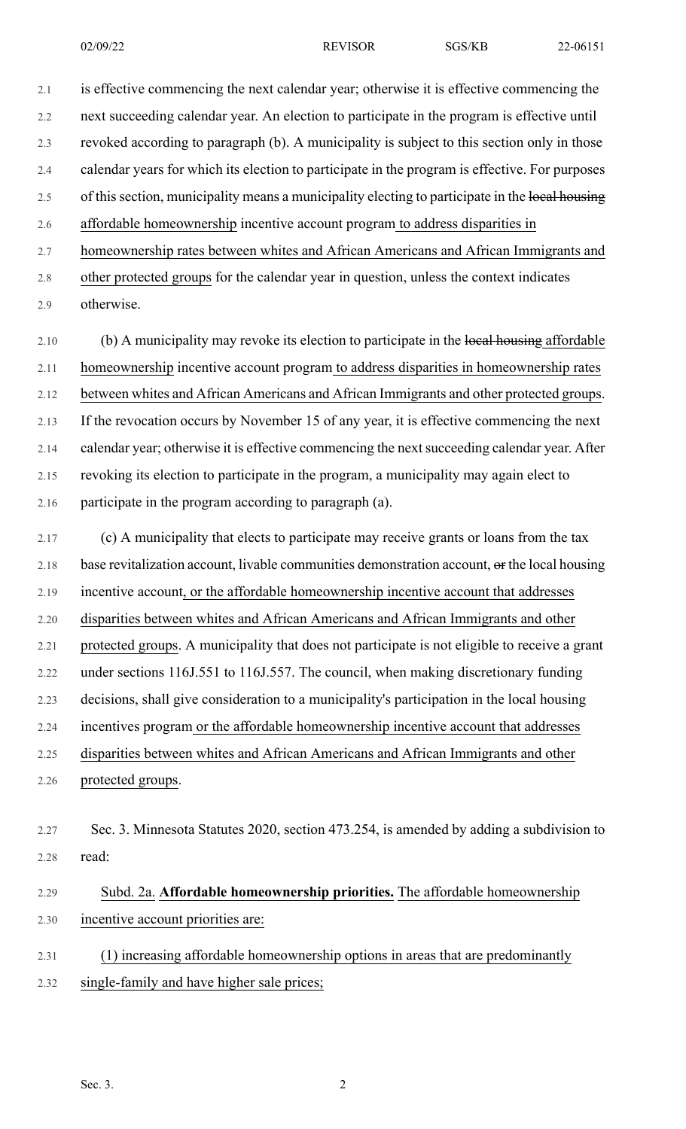2.1 is effective commencing the next calendar year; otherwise it is effective commencing the 2.2 next succeeding calendar year. An election to participate in the program is effective until 2.3 revoked according to paragraph (b). A municipality is subject to this section only in those 2.4 calendar years for which its election to participate in the program is effective. For purposes 2.5 of this section, municipality means a municipality electing to participate in the local housing 2.6 affordable homeownership incentive account program to address disparities in 2.7 homeownership rates between whites and African Americans and African Immigrants and 2.8 other protected groups for the calendar year in question, unless the context indicates 2.9 otherwise.

2.10 (b) A municipality may revoke its election to participate in the local housing affordable 2.11 homeownership incentive account program to address disparities in homeownership rates 2.12 between whites and African Americans and African Immigrants and other protected groups. 2.13 If the revocation occurs by November 15 of any year, it is effective commencing the next 2.14 calendar year; otherwise it is effective commencing the next succeeding calendar year. After 2.15 revoking its election to participate in the program, a municipality may again elect to 2.16 participate in the program according to paragraph (a).

2.17 (c) A municipality that elects to participate may receive grants or loans from the tax 2.18 base revitalization account, livable communities demonstration account,  $\Theta$ r the local housing 2.19 incentive account, or the affordable homeownership incentive account that addresses 2.20 disparities between whites and African Americans and African Immigrants and other 2.21 protected groups. A municipality that does not participate is not eligible to receive a grant 2.22 under sections 116J.551 to 116J.557. The council, when making discretionary funding 2.23 decisions, shall give consideration to a municipality's participation in the local housing 2.24 incentives program or the affordable homeownership incentive account that addresses 2.25 disparities between whites and African Americans and African Immigrants and other 2.26 protected groups.

2.27 Sec. 3. Minnesota Statutes 2020, section 473.254, is amended by adding a subdivision to 2.28 read:

## 2.29 Subd. 2a. **Affordable homeownership priorities.** The affordable homeownership 2.30 incentive account priorities are:

- 2.31 (1) increasing affordable homeownership options in areas that are predominantly
- 2.32 single-family and have higher sale prices;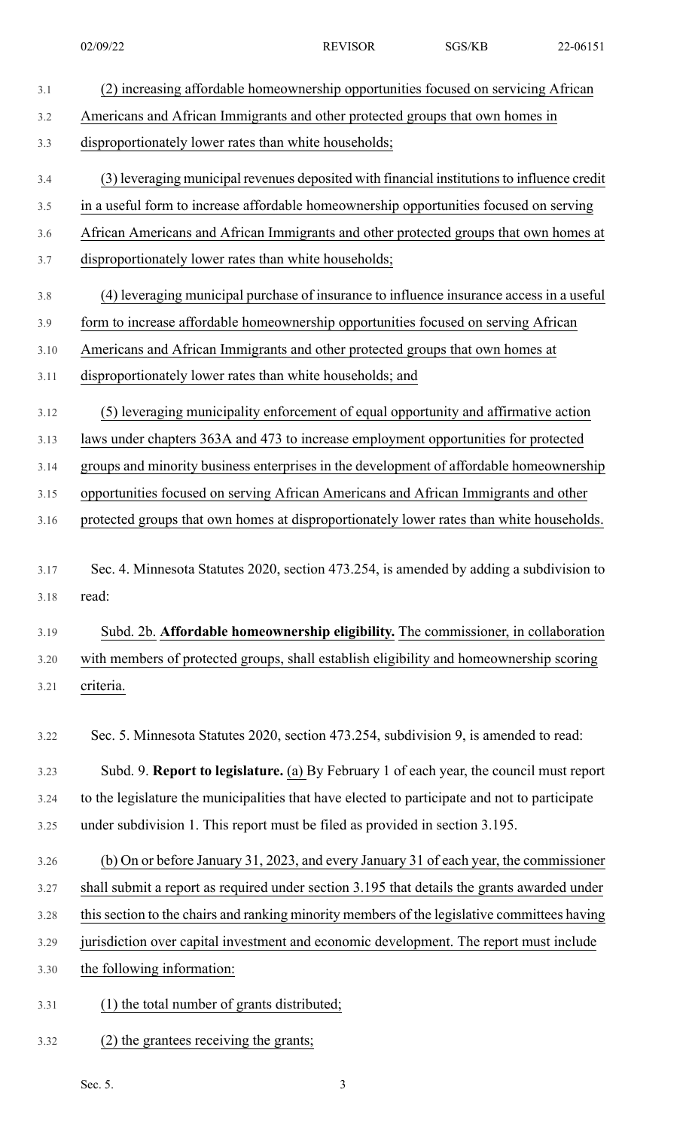- 3.1 (2) increasing affordable homeownership opportunities focused on servicing African 3.2 Americans and African Immigrants and other protected groups that own homes in 3.3 disproportionately lower rates than white households; 3.4 (3) leveraging municipal revenues deposited with financial institutionsto influence credit 3.5 in a useful form to increase affordable homeownership opportunities focused on serving 3.6 African Americans and African Immigrants and other protected groups that own homes at 3.7 disproportionately lower rates than white households; 3.8 (4) leveraging municipal purchase of insurance to influence insurance access in a useful 3.9 form to increase affordable homeownership opportunities focused on serving African 3.10 Americans and African Immigrants and other protected groups that own homes at 3.11 disproportionately lower rates than white households; and 3.12 (5) leveraging municipality enforcement of equal opportunity and affirmative action 3.13 laws under chapters 363A and 473 to increase employment opportunities for protected 3.14 groups and minority business enterprises in the development of affordable homeownership 3.15 opportunities focused on serving African Americans and African Immigrants and other 3.16 protected groups that own homes at disproportionately lower rates than white households. 3.17 Sec. 4. Minnesota Statutes 2020, section 473.254, is amended by adding a subdivision to 3.18 read: 3.19 Subd. 2b. **Affordable homeownership eligibility.** The commissioner, in collaboration 3.20 with members of protected groups, shall establish eligibility and homeownership scoring 3.21 criteria. 3.22 Sec. 5. Minnesota Statutes 2020, section 473.254, subdivision 9, is amended to read: 3.23 Subd. 9. **Report to legislature.** (a) By February 1 of each year, the council must report 3.24 to the legislature the municipalities that have elected to participate and not to participate 3.25 under subdivision 1. This report must be filed as provided in section 3.195. 3.26 (b) On or before January 31, 2023, and every January 31 of each year, the commissioner 3.27 shall submit a report as required under section 3.195 that details the grants awarded under 3.28 thissection to the chairs and ranking minority members of the legislative committees having 3.29 jurisdiction over capital investment and economic development. The report must include 3.30 the following information: 3.31 (1) the total number of grants distributed;
- 3.32 (2) the grantees receiving the grants;